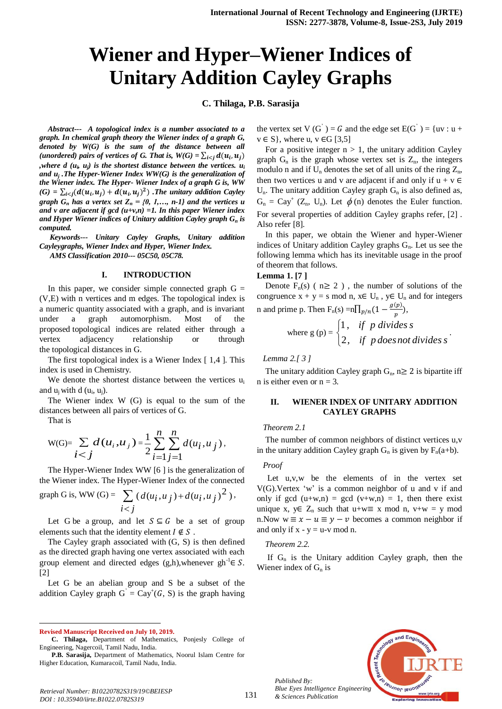# **Wiener and Hyper–Wiener Indices of Unitary Addition Cayley Graphs**

**C. Thilaga, P.B. Sarasija**

*Abstract--- A topological index is a number associated to a graph. In chemical graph theory the Wiener index of a graph G, denoted by W(G) is the sum of the distance between all (unordered) pairs of vertices of G. That is,*  $W(G) = \sum_{i \leq j} d(u_i, u_j)$ *,where d (u<sup>i</sup> , uj) is the shortest distance between the vertices. u<sup>i</sup> and u<sup>j</sup> .The Hyper-Wiener Index WW(G) is the generalization of the Wiener index. The Hyper- Wiener Index of a graph G is, WW*   $\mathcal{L}(G) = \sum_{i \leq j} (d(u_i, u_j) + d(u_i, u_j)^2)$ . The unitary addition Cayley *graph*  $G_n$  *has a vertex set*  $Z_n = \{0, 1, \ldots, n-1\}$  *and the vertices u and v are adjacent if gcd (u+v,n) =1. In this paper Wiener index and Hyper Wiener indices of Unitary addition Cayley graph G<sup>n</sup> is computed.*

*Keywords--- Unitary Cayley Graphs, Unitary addition Cayleygraphs, Wiener Index and Hyper, Wiener Index. AMS Classification 2010--- 05C50, 05C78.*

## **I. INTRODUCTION**

In this paper, we consider simple connected graph  $G =$ (V,E) with n vertices and m edges. The topological index is a numeric quantity associated with a graph, and is invariant under a graph automorphism. Most of the proposed topological indices are related either through a vertex adjacency relationship or through the topological distances in G.

The first topological index is a Wiener Index [ 1,4 ]. This index is used in Chemistry.

We denote the shortest distance between the vertices  $u_i$ and  $u_j$  with d  $(u_i, u_j)$ .

The Wiener index W (G) is equal to the sum of the distances between all pairs of vertices of G.

That is

 $\overline{a}$ 

$$
W(G)=\sum_{i < j} d(u_i, u_j) = \frac{1}{2} \sum_{i=1}^n \sum_{j=1}^n d(u_i, u_j),
$$

The Hyper-Wiener Index WW [6 ] is the generalization of the Wiener index. The Hyper-Wiener Index of the connected

graph G is, WW (G) = 
$$
\sum_{i < j} (d(u_i, u_j) + d(u_i, u_j)^2),
$$

Let G be a [group,](http://mathworld.wolfram.com/Group.html) and let  $S \subseteq G$  be a set of group elements such that the [identity element](http://mathworld.wolfram.com/IdentityElement.html)  $I \notin S$ .

The Cayley graph associated with (G, S) is then defined as the [directed](http://mathworld.wolfram.com/DirectedGraph.html) graph having one vertex associated with each group element and directed edges  $(g,h)$ , whenever  $gh^{-1} \in S$ . [2]

Let G be an abelian group and S be a subset of the addition Cayley graph  $G' = Cay^+(G, S)$  is the graph having

**Revised Manuscript Received on July 10, 2019.**

the vertex set V (G<sup>'</sup>) = G and the edge set  $E(G^{'}) = \{uv : u +$  $v \in S$ , where u,  $v \in G$  [3,5]

For a positive integer  $n > 1$ , the unitary addition Cayley graph  $G_n$  is the graph whose vertex set is  $Z_n$ , the integers modulo n and if  $U_n$  denotes the set of all units of the ring  $Z_n$ , then two vertices u and v are adjacent if and only if  $u + v \in$  $U_n$ . The unitary addition Cayley graph  $G_n$  is also defined as,  $G_n = Cay^+(Z_n, U_n)$ . Let  $\phi(n)$  denotes the Euler function. For several properties of addition Cayley graphs refer, [2] . Also refer [8].

In this paper, we obtain the Wiener and hyper-Wiener indices of Unitary addition Cayley graphs  $G_n$ . Let us see the following lemma which has its inevitable usage in the proof of theorem that follows.

## **Lemma 1. [7 ]**

Denote  $F_n(s)$  (  $n \ge 2$  ), the number of solutions of the congruence  $x + y = s \text{ mod } n$ ,  $x \in U_n$ ,  $y \in U_n$  and for integers n and prime p. Then  $F_n(s) = n \prod_{p \nmid n} (1 - \frac{g}{s})$  $_{p/n}(1-\frac{g(p)}{p}),$ 

where 
$$
g(p) = \begin{cases} 1, & \text{if } p \text{ divides } s \\ 2, & \text{if } p \text{ does not divides } s \end{cases}
$$

.

*Lemma 2.[ 3 ]*

The unitary addition Cayley graph  $G_n$ ,  $n \geq 2$  is bipartite iff n is either even or  $n = 3$ .

## **II. WIENER INDEX OF UNITARY ADDITION CAYLEY GRAPHS**

## *Theorem 2.1*

The number of common neighbors of distinct vertices u,v in the unitary addition Cayley graph  $G_n$  is given by  $F_n(a+b)$ .

## *Proof*

Let u,v,w be the elements of in the vertex set V(G).Vertex 'w' is a common neighbor of u and v if and only if gcd  $(u+w,n) = gcd(v+w,n) = 1$ , then there exist unique x,  $y \in Z_n$  such that  $u+w \equiv x \mod n$ ,  $v+w = y \mod n$ n.Now  $w \equiv x - u \equiv y - v$  becomes a common neighbor if and only if  $x - y = u - v \mod n$ .

#### *Theorem 2.2.*

If  $G_n$  is the Unitary addition Cayley graph, then the Wiener index of  $G_n$  is



*Published By: Blue Eyes Intelligence Engineering & Sciences Publication* 

**C. Thilaga,** Department of Mathematics, Ponjesly College of Engineering, Nagercoil, Tamil Nadu, India.

**P.B. Sarasija,** Department of Mathematics, Noorul Islam Centre for Higher Education, Kumaracoil, Tamil Nadu, India.